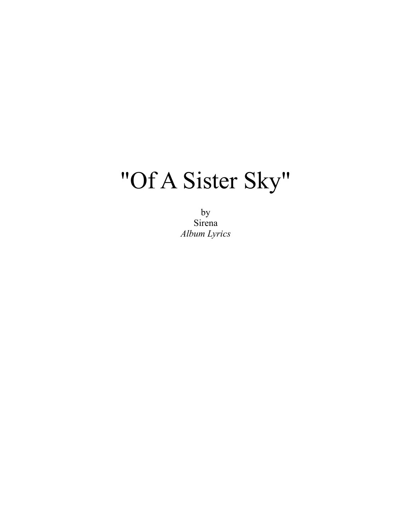# "Of A Sister Sky"

by Sirena *Album Lyrics*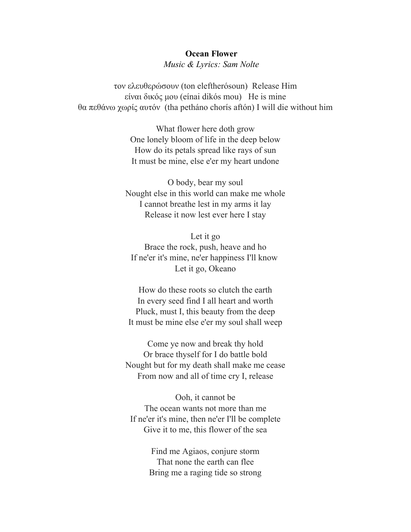#### **Ocean Flower**

*Music & Lyrics: Sam Nolte*

τον ελευθερώσουν (ton eleftherósoun) Release Him είναι δικός µου (eínai dikós mou) He is mine θα πεθάνω χωρίς αυτόν (tha petháno chorís aftón) I will die without him

> What flower here doth grow One lonely bloom of life in the deep below How do its petals spread like rays of sun It must be mine, else e'er my heart undone

O body, bear my soul Nought else in this world can make me whole I cannot breathe lest in my arms it lay Release it now lest ever here I stay

Let it go Brace the rock, push, heave and ho If ne'er it's mine, ne'er happiness I'll know Let it go, Okeano

How do these roots so clutch the earth In every seed find I all heart and worth Pluck, must I, this beauty from the deep It must be mine else e'er my soul shall weep

Come ye now and break thy hold Or brace thyself for I do battle bold Nought but for my death shall make me cease From now and all of time cry I, release

Ooh, it cannot be The ocean wants not more than me If ne'er it's mine, then ne'er I'll be complete Give it to me, this flower of the sea

> Find me Agiaos, conjure storm That none the earth can flee Bring me a raging tide so strong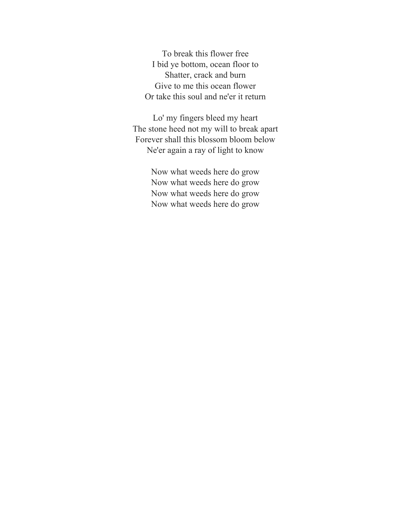To break this flower free I bid ye bottom, ocean floor to Shatter, crack and burn Give to me this ocean flower Or take this soul and ne'er it return

Lo' my fingers bleed my heart The stone heed not my will to break apart Forever shall this blossom bloom below Ne'er again a ray of light to know

> Now what weeds here do grow Now what weeds here do grow Now what weeds here do grow Now what weeds here do grow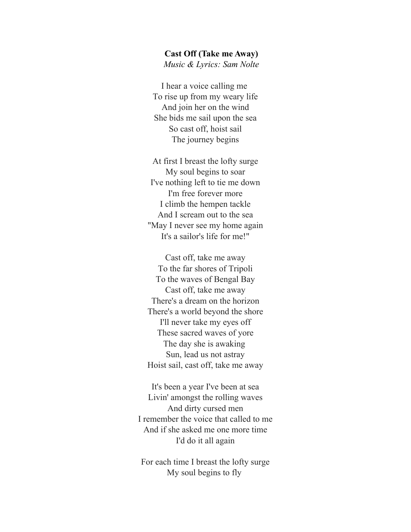#### **Cast Off (Take me Away)**

*Music & Lyrics: Sam Nolte*

I hear a voice calling me To rise up from my weary life And join her on the wind She bids me sail upon the sea So cast off, hoist sail The journey begins

At first I breast the lofty surge My soul begins to soar I've nothing left to tie me down I'm free forever more I climb the hempen tackle And I scream out to the sea "May I never see my home again It's a sailor's life for me!"

Cast off, take me away To the far shores of Tripoli To the waves of Bengal Bay Cast off, take me away There's a dream on the horizon There's a world beyond the shore I'll never take my eyes off These sacred waves of yore The day she is awaking Sun, lead us not astray Hoist sail, cast off, take me away

It's been a year I've been at sea Livin' amongst the rolling waves And dirty cursed men I remember the voice that called to me And if she asked me one more time I'd do it all again

For each time I breast the lofty surge My soul begins to fly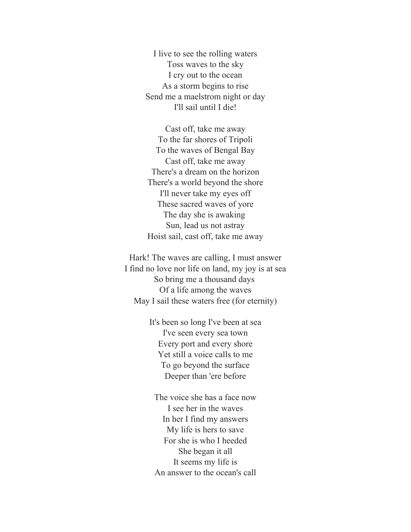I live to see the rolling waters Toss waves to the sky I cry out to the ocean As a storm begins to rise Send me a maelstrom night or day I'll sail until I die!

Cast off, take me away To the far shores of Tripoli To the waves of Bengal Bay Cast off, take me away There's a dream on the horizon There's a world beyond the shore I'll never take my eyes off These sacred waves of yore The day she is awaking Sun, lead us not astray Hoist sail, cast off, take me away

Hark! The waves are calling, I must answer I find no love nor life on land, my joy is at sea So bring me a thousand days Of a life among the waves May I sail these waters free (for eternity)

> It's been so long I've been at sea I've seen every sea town Every port and every shore Yet still a voice calls to me To go beyond the surface Deeper than 'ere before

The voice she has a face now I see her in the waves In her I find my answers My life is hers to save For she is who I heeded She began it all It seems my life is An answer to the ocean's call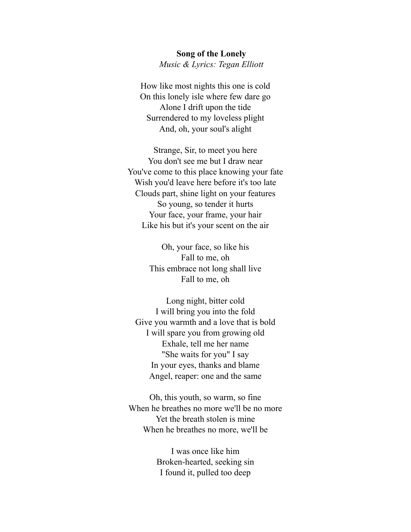## **Song of the Lonely** *Music & Lyrics: Tegan Elliott*

How like most nights this one is cold On this lonely isle where few dare go Alone I drift upon the tide Surrendered to my loveless plight And, oh, your soul's alight

Strange, Sir, to meet you here You don't see me but I draw near You've come to this place knowing your fate Wish you'd leave here before it's too late Clouds part, shine light on your features So young, so tender it hurts Your face, your frame, your hair Like his but it's your scent on the air

> Oh, your face, so like his Fall to me, oh This embrace not long shall live Fall to me, oh

Long night, bitter cold I will bring you into the fold Give you warmth and a love that is bold I will spare you from growing old Exhale, tell me her name "She waits for you" I say In your eyes, thanks and blame Angel, reaper: one and the same

Oh, this youth, so warm, so fine When he breathes no more we'll be no more Yet the breath stolen is mine When he breathes no more, we'll be

> I was once like him Broken-hearted, seeking sin I found it, pulled too deep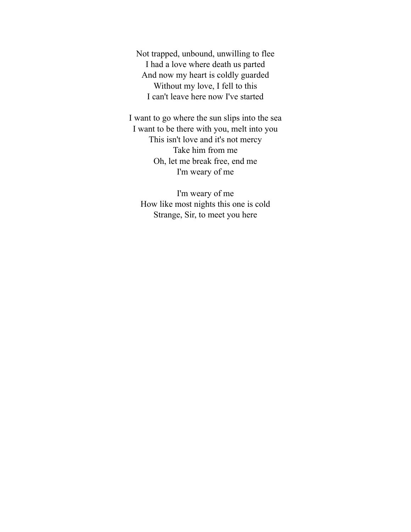Not trapped, unbound, unwilling to flee I had a love where death us parted And now my heart is coldly guarded Without my love, I fell to this I can't leave here now I've started

I want to go where the sun slips into the sea I want to be there with you, melt into you This isn't love and it's not mercy Take him from me Oh, let me break free, end me I'm weary of me

I'm weary of me How like most nights this one is cold Strange, Sir, to meet you here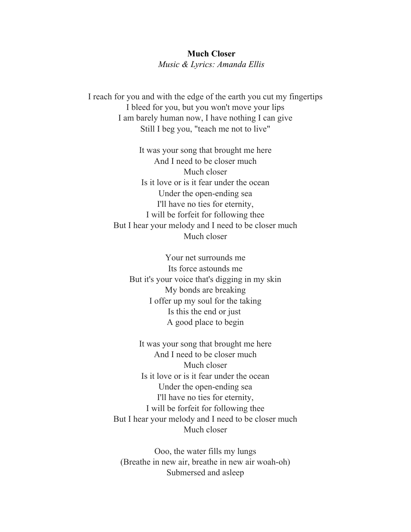### **Much Closer**

*Music & Lyrics: Amanda Ellis*

I reach for you and with the edge of the earth you cut my fingertips I bleed for you, but you won't move your lips I am barely human now, I have nothing I can give Still I beg you, "teach me not to live"

> It was your song that brought me here And I need to be closer much Much closer Is it love or is it fear under the ocean Under the open-ending sea I'll have no ties for eternity, I will be forfeit for following thee But I hear your melody and I need to be closer much Much closer

Your net surrounds me Its force astounds me But it's your voice that's digging in my skin My bonds are breaking I offer up my soul for the taking Is this the end or just A good place to begin

It was your song that brought me here And I need to be closer much Much closer Is it love or is it fear under the ocean Under the open-ending sea I'll have no ties for eternity, I will be forfeit for following thee But I hear your melody and I need to be closer much Much closer

Ooo, the water fills my lungs (Breathe in new air, breathe in new air woah-oh) Submersed and asleep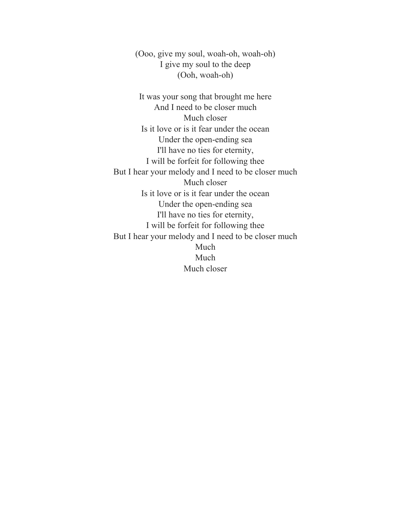(Ooo, give my soul, woah-oh, woah-oh) I give my soul to the deep (Ooh, woah-oh)

It was your song that brought me here And I need to be closer much Much closer Is it love or is it fear under the ocean Under the open-ending sea I'll have no ties for eternity, I will be forfeit for following thee But I hear your melody and I need to be closer much Much closer Is it love or is it fear under the ocean Under the open-ending sea I'll have no ties for eternity, I will be forfeit for following thee But I hear your melody and I need to be closer much Much Much Much closer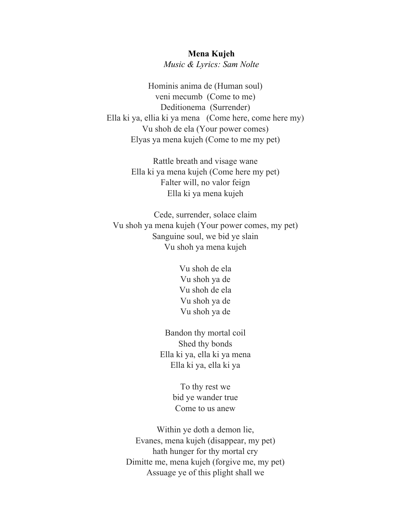#### **Mena Kujeh**

*Music & Lyrics: Sam Nolte*

Hominis anima de (Human soul) veni mecumb (Come to me) Deditionema (Surrender) Ella ki ya, ellia ki ya mena (Come here, come here my) Vu shoh de ela (Your power comes) Elyas ya mena kujeh (Come to me my pet)

> Rattle breath and visage wane Ella ki ya mena kujeh (Come here my pet) Falter will, no valor feign Ella ki ya mena kujeh

Cede, surrender, solace claim Vu shoh ya mena kujeh (Your power comes, my pet) Sanguine soul, we bid ye slain Vu shoh ya mena kujeh

> Vu shoh de ela Vu shoh ya de Vu shoh de ela Vu shoh ya de Vu shoh ya de

Bandon thy mortal coil Shed thy bonds Ella ki ya, ella ki ya mena Ella ki ya, ella ki ya

> To thy rest we bid ye wander true Come to us anew

Within ye doth a demon lie, Evanes, mena kujeh (disappear, my pet) hath hunger for thy mortal cry Dimitte me, mena kujeh (forgive me, my pet) Assuage ye of this plight shall we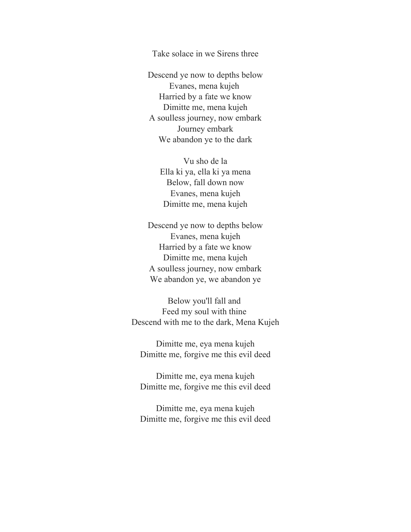Take solace in we Sirens three

Descend ye now to depths below Evanes, mena kujeh Harried by a fate we know Dimitte me, mena kujeh A soulless journey, now embark Journey embark We abandon ye to the dark

> Vu sho de la Ella ki ya, ella ki ya mena Below, fall down now Evanes, mena kujeh Dimitte me, mena kujeh

Descend ye now to depths below Evanes, mena kujeh Harried by a fate we know Dimitte me, mena kujeh A soulless journey, now embark We abandon ye, we abandon ye

Below you'll fall and Feed my soul with thine Descend with me to the dark, Mena Kujeh

Dimitte me, eya mena kujeh Dimitte me, forgive me this evil deed

Dimitte me, eya mena kujeh Dimitte me, forgive me this evil deed

Dimitte me, eya mena kujeh Dimitte me, forgive me this evil deed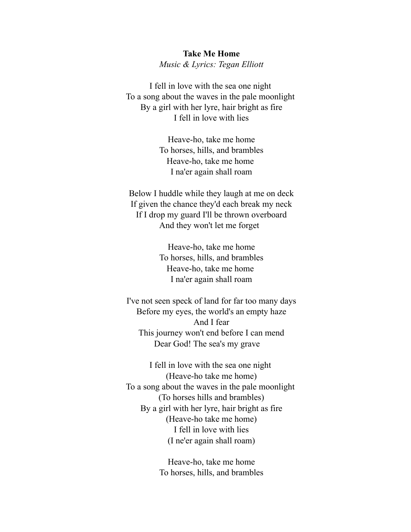#### **Take Me Home**

*Music & Lyrics: Tegan Elliott*

I fell in love with the sea one night To a song about the waves in the pale moonlight By a girl with her lyre, hair bright as fire I fell in love with lies

> Heave-ho, take me home To horses, hills, and brambles Heave-ho, take me home I na'er again shall roam

Below I huddle while they laugh at me on deck If given the chance they'd each break my neck If I drop my guard I'll be thrown overboard And they won't let me forget

> Heave-ho, take me home To horses, hills, and brambles Heave-ho, take me home I na'er again shall roam

I've not seen speck of land for far too many days Before my eyes, the world's an empty haze And I fear This journey won't end before I can mend Dear God! The sea's my grave

I fell in love with the sea one night (Heave-ho take me home) To a song about the waves in the pale moonlight (To horses hills and brambles) By a girl with her lyre, hair bright as fire (Heave-ho take me home) I fell in love with lies (I ne'er again shall roam)

> Heave-ho, take me home To horses, hills, and brambles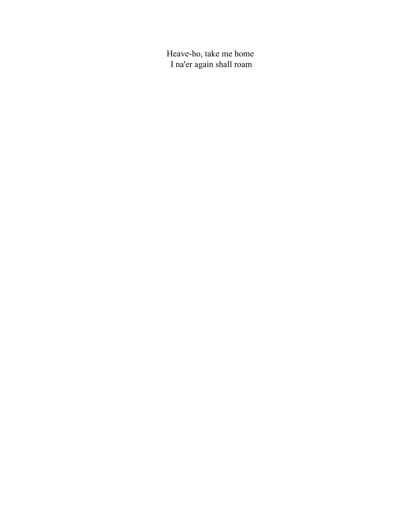Heave-ho, take me home I na'er again shall roam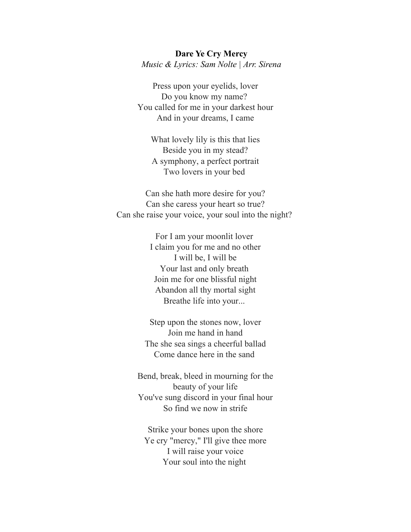## **Dare Ye Cry Mercy** *Music & Lyrics: Sam Nolte | Arr. Sirena*

Press upon your eyelids, lover Do you know my name? You called for me in your darkest hour And in your dreams, I came

What lovely lily is this that lies Beside you in my stead? A symphony, a perfect portrait Two lovers in your bed

Can she hath more desire for you? Can she caress your heart so true? Can she raise your voice, your soul into the night?

> For I am your moonlit lover I claim you for me and no other I will be, I will be Your last and only breath Join me for one blissful night Abandon all thy mortal sight Breathe life into your...

Step upon the stones now, lover Join me hand in hand The she sea sings a cheerful ballad Come dance here in the sand

Bend, break, bleed in mourning for the beauty of your life You've sung discord in your final hour So find we now in strife

Strike your bones upon the shore Ye cry "mercy," I'll give thee more I will raise your voice Your soul into the night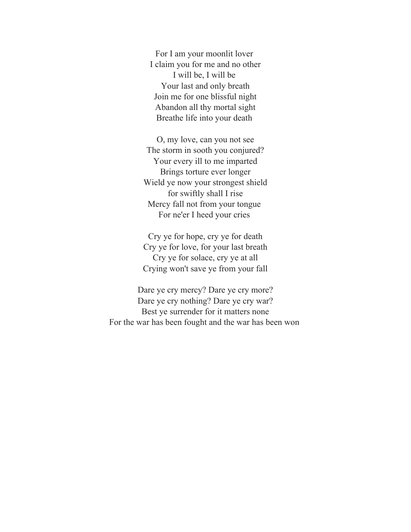For I am your moonlit lover I claim you for me and no other I will be, I will be Your last and only breath Join me for one blissful night Abandon all thy mortal sight Breathe life into your death

O, my love, can you not see The storm in sooth you conjured? Your every ill to me imparted Brings torture ever longer Wield ye now your strongest shield for swiftly shall I rise Mercy fall not from your tongue For ne'er I heed your cries

Cry ye for hope, cry ye for death Cry ye for love, for your last breath Cry ye for solace, cry ye at all Crying won't save ye from your fall

Dare ye cry mercy? Dare ye cry more? Dare ye cry nothing? Dare ye cry war? Best ye surrender for it matters none For the war has been fought and the war has been won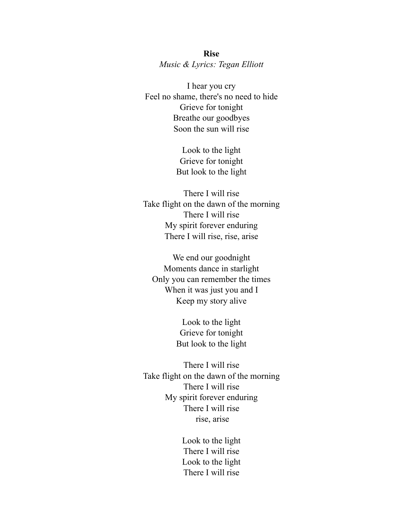**Rise** *Music & Lyrics: Tegan Elliott*

I hear you cry Feel no shame, there's no need to hide Grieve for tonight Breathe our goodbyes Soon the sun will rise

> Look to the light Grieve for tonight But look to the light

There I will rise Take flight on the dawn of the morning There I will rise My spirit forever enduring There I will rise, rise, arise

We end our goodnight Moments dance in starlight Only you can remember the times When it was just you and I Keep my story alive

> Look to the light Grieve for tonight But look to the light

There I will rise Take flight on the dawn of the morning There I will rise My spirit forever enduring There I will rise rise, arise

> Look to the light There I will rise Look to the light There I will rise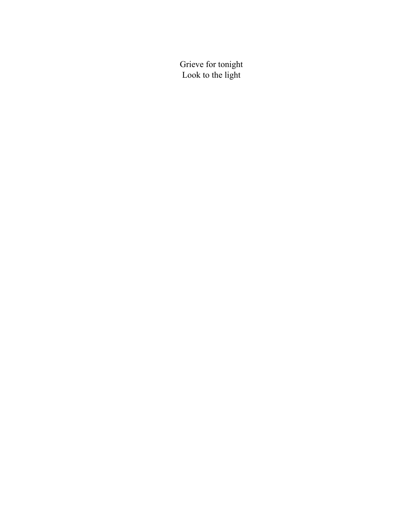Grieve for tonight Look to the light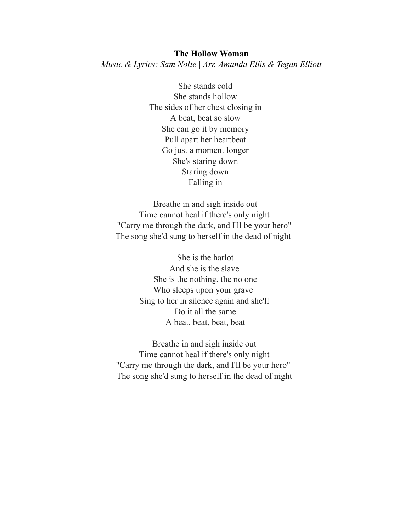## **The Hollow Woman** *Music & Lyrics: Sam Nolte | Arr. Amanda Ellis & Tegan Elliott*

She stands cold She stands hollow The sides of her chest closing in A beat, beat so slow She can go it by memory Pull apart her heartbeat Go just a moment longer She's staring down Staring down Falling in

Breathe in and sigh inside out Time cannot heal if there's only night "Carry me through the dark, and I'll be your hero" The song she'd sung to herself in the dead of night

> She is the harlot And she is the slave She is the nothing, the no one Who sleeps upon your grave Sing to her in silence again and she'll Do it all the same A beat, beat, beat, beat

Breathe in and sigh inside out Time cannot heal if there's only night "Carry me through the dark, and I'll be your hero" The song she'd sung to herself in the dead of night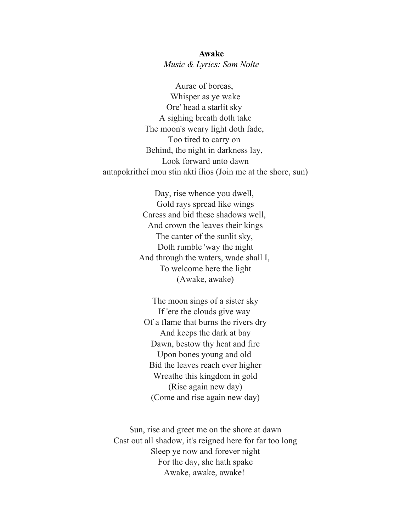**Awake** *Music & Lyrics: Sam Nolte*

Aurae of boreas, Whisper as ye wake Ore' head a starlit sky A sighing breath doth take The moon's weary light doth fade, Too tired to carry on Behind, the night in darkness lay, Look forward unto dawn antapokritheí mou stin aktí ílios (Join me at the shore, sun)

> Day, rise whence you dwell, Gold rays spread like wings Caress and bid these shadows well, And crown the leaves their kings The canter of the sunlit sky, Doth rumble 'way the night And through the waters, wade shall I, To welcome here the light (Awake, awake)

The moon sings of a sister sky If 'ere the clouds give way Of a flame that burns the rivers dry And keeps the dark at bay Dawn, bestow thy heat and fire Upon bones young and old Bid the leaves reach ever higher Wreathe this kingdom in gold (Rise again new day) (Come and rise again new day)

Sun, rise and greet me on the shore at dawn Cast out all shadow, it's reigned here for far too long Sleep ye now and forever night For the day, she hath spake Awake, awake, awake!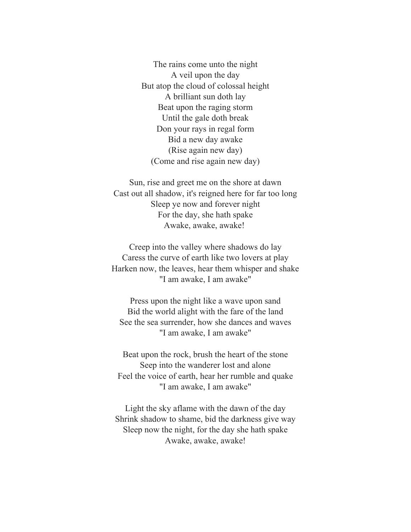The rains come unto the night A veil upon the day But atop the cloud of colossal height A brilliant sun doth lay Beat upon the raging storm Until the gale doth break Don your rays in regal form Bid a new day awake (Rise again new day) (Come and rise again new day)

Sun, rise and greet me on the shore at dawn Cast out all shadow, it's reigned here for far too long Sleep ye now and forever night For the day, she hath spake Awake, awake, awake!

Creep into the valley where shadows do lay Caress the curve of earth like two lovers at play Harken now, the leaves, hear them whisper and shake "I am awake, I am awake"

Press upon the night like a wave upon sand Bid the world alight with the fare of the land See the sea surrender, how she dances and waves "I am awake, I am awake"

Beat upon the rock, brush the heart of the stone Seep into the wanderer lost and alone Feel the voice of earth, hear her rumble and quake "I am awake, I am awake"

Light the sky aflame with the dawn of the day Shrink shadow to shame, bid the darkness give way Sleep now the night, for the day she hath spake Awake, awake, awake!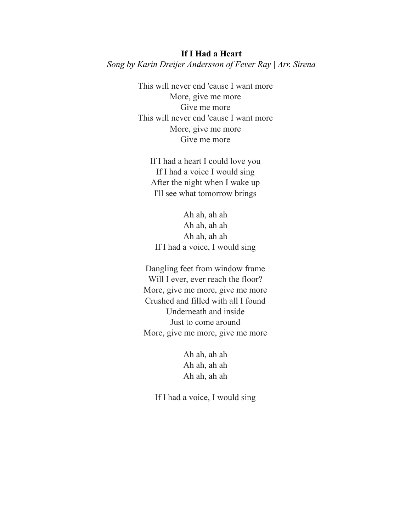## **If I Had a Heart** *Song by Karin Dreijer Andersson of Fever Ray | Arr. Sirena*

This will never end 'cause I want more More, give me more Give me more This will never end 'cause I want more More, give me more Give me more

If I had a heart I could love you If I had a voice I would sing After the night when I wake up I'll see what tomorrow brings

Ah ah, ah ah Ah ah, ah ah Ah ah, ah ah If I had a voice, I would sing

Dangling feet from window frame Will I ever, ever reach the floor? More, give me more, give me more Crushed and filled with all I found Underneath and inside Just to come around More, give me more, give me more

> Ah ah, ah ah Ah ah, ah ah Ah ah, ah ah

If I had a voice, I would sing